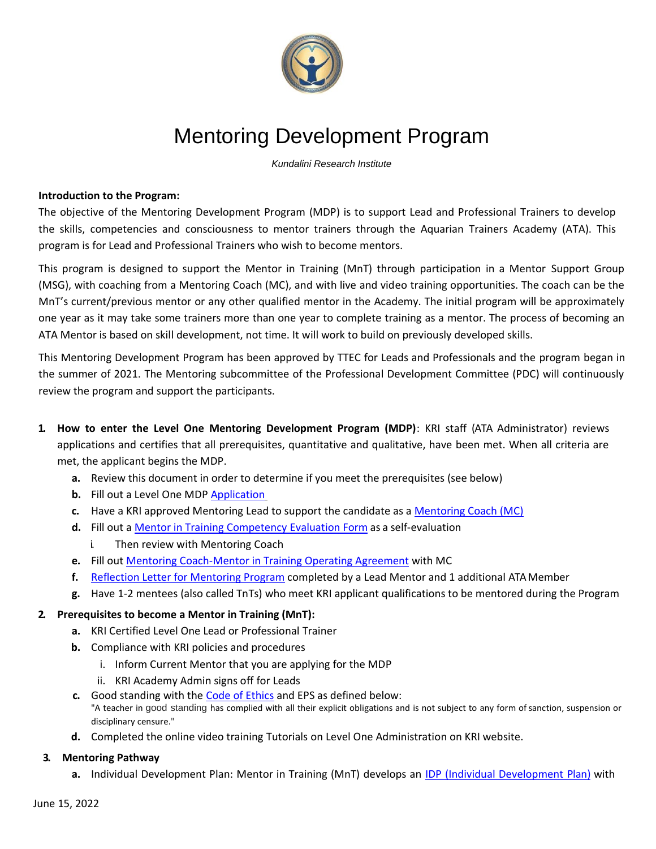

## Mentoring Development Program

*Kundalini Research Institute*

## **Introduction to the Program:**

The objective of the Mentoring Development Program (MDP) is to support Lead and Professional Trainers to develop the skills, competencies and consciousness to mentor trainers through the Aquarian Trainers Academy (ATA). This program is for Lead and Professional Trainers who wish to become mentors.

This program is designed to support the Mentor in Training (MnT) through participation in a Mentor Support Group (MSG), with coaching from a Mentoring Coach (MC), and with live and video training opportunities. The coach can be the MnT's current/previous mentor or any other qualified mentor in the Academy. The initial program will be approximately one year as it may take some trainers more than one year to complete training as a mentor. The process of becoming an ATA Mentor is based on skill development, not time. It will work to build on previously developed skills.

This Mentoring Development Program has been approved by TTEC for Leads and Professionals and the program began in the summer of 2021. The Mentoring subcommittee of the Professional Development Committee (PDC) will continuously review the program and support the participants.

- **1. How to enter the Level One Mentoring Development Program (MDP)**: KRI staff (ATA Administrator) reviews applications and certifies that all prerequisites, quantitative and qualitative, have been met. When all criteria are met, the applicant begins the MDP.
	- **a.** Review this document in order to determine if you meet the prerequisites (see below)
	- **b.** Fill out a Level One MDP [Application](https://trainersupport.kundaliniresearchinstitute.org/wp-content/uploads/2021/08/4-Mentoring-Development-Program-Application.docx)
	- **c.** Have a KRI approved Mentoring Lead to support the candidate as a [Mentoring](https://trainersupport.kundaliniresearchinstitute.org/wp-content/uploads/2022/06/Mentoring-Coach-Responsibilities-MDP.docx.pdf) Coach (MC)
	- **d.** Fill out a Mentor in Training [Competency](https://trainersupport.kundaliniresearchinstitute.org/wp-content/uploads/2021/08/7-MnT-Competency-Evaluation-Form.docx) Evaluation Form as a self-evaluation
		- i. Then review with Mentoring Coach
	- **e.** Fill out [Mentoring Coach-Mentor in Training Operating](https://trainersupport.kundaliniresearchinstitute.org/wp-content/uploads/2021/08/6-Mentoring-Coach-Mentor-in-Training-Operating-Agreement.docx) Agreement with MC
	- f. Reflection Letter [for Mentoring Program](https://trainersupport.kundaliniresearchinstitute.org/wp-content/uploads/2021/08/5-Reflection-Letter-for-Mentoring-Development-Program.docx) completed by a Lead Mentor and 1 additional ATA Member
	- **g.** Have 1-2 mentees (also called TnTs) who meet KRI applicant qualifications to be mentored during the Program

## **2. Prerequisites to become a Mentor in Training (MnT):**

- **a.** KRI Certified Level One Lead or Professional Trainer
- **b.** Compliance with KRI policies and procedures
	- i. Inform Current Mentor that you are applying for the MDP
	- ii. KRI Academy Admin signs off for Leads
- **c.** Good standing with the [Code of Ethics](https://kundaliniresearchinstitute.org/code-of-ethics/) and EPS as defined below: "A teacher in good standing has complied with all their explicit obligations and is not subject to any form ofsanction, suspension or disciplinary censure."
- **d.** Completed the online video training Tutorials on Level One Administration on KRI website.

## **3. Mentoring Pathway**

**a.** Individual Development Plan: Mentor in Training (MnT) develops an [IDP \(Individual Development Plan\)](https://trainersupport.kundaliniresearchinstitute.org/wp-content/uploads/2021/08/8-MnT-Individual-Development-Plan-IDP.docx) with